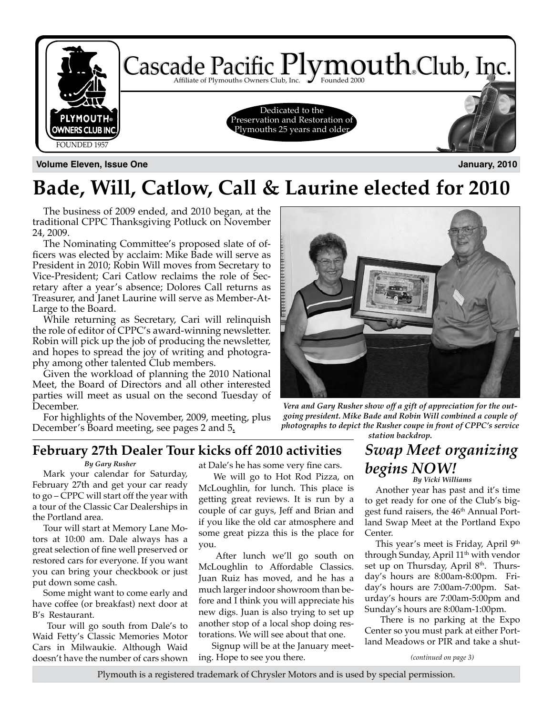

**Volume Eleven, Issue One January, 2010**

# **Bade, Will, Catlow, Call & Laurine elected for 2010**

The business of 2009 ended, and 2010 began, at the traditional CPPC Thanksgiving Potluck on November 24, 2009.

The Nominating Committee's proposed slate of officers was elected by acclaim: Mike Bade will serve as President in 2010; Robin Will moves from Secretary to Vice-President; Cari Catlow reclaims the role of Secretary after a year's absence; Dolores Call returns as Treasurer, and Janet Laurine will serve as Member-At-Large to the Board.

While returning as Secretary, Cari will relinquish the role of editor of CPPC's award-winning newsletter. Robin will pick up the job of producing the newsletter, and hopes to spread the joy of writing and photography among other talented Club members.

Given the workload of planning the 2010 National Meet, the Board of Directors and all other interested parties will meet as usual on the second Tuesday of December.

For highlights of the November, 2009, meeting, plus December's Board meeting, see pages 2 and 5**.**



*Vera and Gary Rusher show off a gift of appreciation for the outgoing president. Mike Bade and Robin Will combined a couple of photographs to depict the Rusher coupe in front of CPPC's service station backdrop.*

### **February 27th Dealer Tour kicks off 2010 activities** *Swap Meet organizing*

#### *By Gary Rusher*

Mark your calendar for Saturday, February 27th and get your car ready to go – CPPC will start off the year with a tour of the Classic Car Dealerships in the Portland area.

Tour will start at Memory Lane Motors at 10:00 am. Dale always has a great selection of fine well preserved or restored cars for everyone. If you want you can bring your checkbook or just put down some cash.

Some might want to come early and have coffee (or breakfast) next door at B's Restaurant.

 Tour will go south from Dale's to Waid Fetty's Classic Memories Motor Cars in Milwaukie. Although Waid doesn't have the number of cars shown

at Dale's he has some very fine cars.

 We will go to Hot Rod Pizza, on McLoughlin, for lunch. This place is getting great reviews. It is run by a couple of car guys, Jeff and Brian and if you like the old car atmosphere and some great pizza this is the place for you.

 After lunch we'll go south on McLoughlin to Affordable Classics. Juan Ruiz has moved, and he has a much larger indoor showroom than before and I think you will appreciate his new digs. Juan is also trying to set up another stop of a local shop doing restorations. We will see about that one.

 Signup will be at the January meeting. Hope to see you there.

# *begins NOW! By Vicki Williams*

Another year has past and it's time to get ready for one of the Club's biggest fund raisers, the 46<sup>th</sup> Annual Portland Swap Meet at the Portland Expo Center.

This year's meet is Friday, April 9<sup>th</sup> through Sunday, April  $11<sup>th</sup>$  with vendor set up on Thursday, April 8<sup>th</sup>. Thursday's hours are 8:00am-8:00pm. Friday's hours are 7:00am-7:00pm. Saturday's hours are 7:00am-5:00pm and Sunday's hours are 8:00am-1:00pm.

 There is no parking at the Expo Center so you must park at either Portland Meadows or PIR and take a shut-

*(continued on page 3)*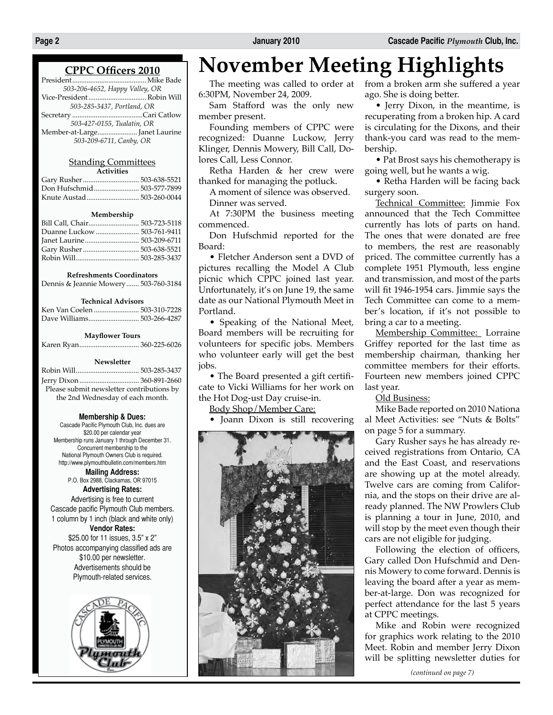#### **CPPC Officers 2010**

| 503-206-4652, Happy Valley, OR |
|--------------------------------|
|                                |
| 503-285-3437, Portland, OR     |
|                                |
| 503-427-0155, Tualatin, OR     |
|                                |

*503-209-6711, Canby, OR*

#### Standing Committees **Activities**

| Gary Rusher  503-638-5521 |  |
|---------------------------|--|
|                           |  |
|                           |  |
|                           |  |

#### **Membership**

| Bill Call, Chair 503-723-5118 |  |
|-------------------------------|--|
|                               |  |
|                               |  |
|                               |  |
|                               |  |

#### **Refreshments Coordinators**

Dennis & Jeannie Mowery....... 503-760-3184

#### **Technical Advisors**

| Ken Van Coelen  503-310-7228 |  |
|------------------------------|--|
|                              |  |

#### **Mayflower Tours**

|--|--|

#### **Newsletter**

| Please submit newsletter contributions by |  |
|-------------------------------------------|--|
| the 2nd Wednesday of each month.          |  |

#### **Membership & Dues:**

Cascade Pacific Plymouth Club, Inc. dues are \$20.00 per calendar year Membership runs January 1 through December 31. Concurrent membership to the National Plymouth Owners Club is required. http://www.plymouthbulletin.com/members.htm

**Mailing Address:** P.O. Box 2988, Clackamas, OR 97015 **Advertising Rates:** Advertising is free to current Cascade pacific Plymouth Club members. 1 column by 1 inch (black and white only) **Vendor Rates:** \$25.00 for 11 issues, 3.5" x 2" Photos accompanying classified ads are \$10.00 per newsletter. Advertisements should be

Plymouth-related services.

# **November Meeting Highlights**

The meeting was called to order at 6:30PM, November 24, 2009.

Sam Stafford was the only new member present.

Founding members of CPPC were recognized: Duanne Luckow, Jerry Klinger, Dennis Mowery, Bill Call, Dolores Call, Less Connor.

Retha Harden & her crew were thanked for managing the potluck.

A moment of silence was observed. Dinner was served.

At 7:30PM the business meeting commenced.

Don Hufschmid reported for the Board:

• Fletcher Anderson sent a DVD of pictures recalling the Model A Club picnic which CPPC joined last year. Unfortunately, it's on June 19, the same date as our National Plymouth Meet in Portland.

• Speaking of the National Meet, Board members will be recruiting for volunteers for specific jobs. Members who volunteer early will get the best jobs.

• The Board presented a gift certificate to Vicki Williams for her work on the Hot Dog-ust Day cruise-in.

Body Shop/Member Care:

• Joann Dixon is still recovering



from a broken arm she suffered a year ago. She is doing better.

• Jerry Dixon, in the meantime, is recuperating from a broken hip. A card is circulating for the Dixons, and their thank-you card was read to the membership.

• Pat Brost says his chemotherapy is going well, but he wants a wig.

• Retha Harden will be facing back surgery soon.

Technical Committee: Jimmie Fox announced that the Tech Committee currently has lots of parts on hand. The ones that were donated are free to members, the rest are reasonably priced. The committee currently has a complete 1951 Plymouth, less engine and transmission, and most of the parts will fit 1946-1954 cars. Jimmie says the Tech Committee can come to a member's location, if it's not possible to bring a car to a meeting.

Membership Committee: Lorraine Griffey reported for the last time as membership chairman, thanking her committee members for their efforts. Fourteen new members joined CPPC last year.

Old Business:

Mike Bade reported on 2010 Nationa al Meet Activities: see "Nuts & Bolts" on page 5 for a summary.

Gary Rusher says he has already received registrations from Ontario, CA and the East Coast, and reservations are showing up at the motel already. Twelve cars are coming from California, and the stops on their drive are already planned. The NW Prowlers Club is planning a tour in June, 2010, and will stop by the meet even though their cars are not eligible for judging.

Following the election of officers, Gary called Don Hufschmid and Dennis Mowery to come forward. Dennis is leaving the board after a year as member-at-large. Don was recognized for perfect attendance for the last 5 years at CPPC meetings.

Mike and Robin were recognized for graphics work relating to the 2010 Meet. Robin and member Jerry Dixon will be splitting newsletter duties for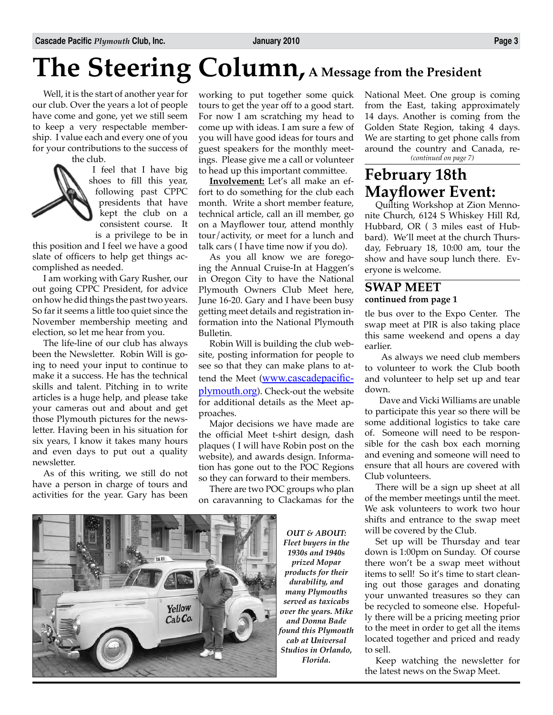# **The Steering Column, A Message from the President**

Well, it is the start of another year for our club. Over the years a lot of people have come and gone, yet we still seem to keep a very respectable membership. I value each and every one of you for your contributions to the success of

the club.

I feel that I have big shoes to fill this year, following past CPPC presidents that have kept the club on a consistent course. It is a privilege to be in

this position and I feel we have a good slate of officers to help get things accomplished as needed.

I am working with Gary Rusher, our out going CPPC President, for advice on how he did things the past two years. So far it seems a little too quiet since the November membership meeting and election, so let me hear from you.

The life-line of our club has always been the Newsletter. Robin Will is going to need your input to continue to make it a success. He has the technical skills and talent. Pitching in to write articles is a huge help, and please take your cameras out and about and get those Plymouth pictures for the newsletter. Having been in his situation for six years, I know it takes many hours and even days to put out a quality newsletter.

As of this writing, we still do not have a person in charge of tours and activities for the year. Gary has been working to put together some quick tours to get the year off to a good start. For now I am scratching my head to come up with ideas. I am sure a few of you will have good ideas for tours and guest speakers for the monthly meetings. Please give me a call or volunteer to head up this important committee.

**Involvement:** Let's all make an effort to do something for the club each month. Write a short member feature, technical article, call an ill member, go on a Mayflower tour, attend monthly tour/activity, or meet for a lunch and talk cars ( I have time now if you do).

As you all know we are foregoing the Annual Cruise-In at Haggen's in Oregon City to have the National Plymouth Owners Club Meet here, June 16-20. Gary and I have been busy getting meet details and registration information into the National Plymouth Bulletin.

Robin Will is building the club website, posting information for people to see so that they can make plans to attend the Meet (www.cascadepacificplymouth.org). Check-out the website for additional details as the Meet approaches.

Major decisions we have made are the official Meet t-shirt design, dash plaques ( I will have Robin post on the website), and awards design. Information has gone out to the POC Regions so they can forward to their members.

There are two POC groups who plan on caravanning to Clackamas for the



*OUT & ABOUT: Fleet buyers in the 1930s and 1940s prized Mopar products for their durability, and many Plymouths served as taxicabs over the years. Mike and Donna Bade found this Plymouth cab at Universal Studios in Orlando, Florida.*

National Meet. One group is coming from the East, taking approximately 14 days. Another is coming from the Golden State Region, taking 4 days. We are starting to get phone calls from around the country and Canada, re- *(continued on page 7)*

# **February 18th Mayflower Event:**<br>Quilting Workshop at Zion Menno-

nite Church, 6124 S Whiskey Hill Rd, Hubbard, OR ( 3 miles east of Hubbard). We'll meet at the church Thursday, February 18, 10:00 am, tour the show and have soup lunch there. Everyone is welcome.

#### **SWAP MEET continued from page 1**

tle bus over to the Expo Center. The swap meet at PIR is also taking place this same weekend and opens a day earlier.

 As always we need club members to volunteer to work the Club booth and volunteer to help set up and tear down.

 Dave and Vicki Williams are unable to participate this year so there will be some additional logistics to take care of. Someone will need to be responsible for the cash box each morning and evening and someone will need to ensure that all hours are covered with Club volunteers.

There will be a sign up sheet at all of the member meetings until the meet. We ask volunteers to work two hour shifts and entrance to the swap meet will be covered by the Club.

Set up will be Thursday and tear down is 1:00pm on Sunday. Of course there won't be a swap meet without items to sell! So it's time to start cleaning out those garages and donating your unwanted treasures so they can be recycled to someone else. Hopefully there will be a pricing meeting prior to the meet in order to get all the items located together and priced and ready to sell.

Keep watching the newsletter for the latest news on the Swap Meet.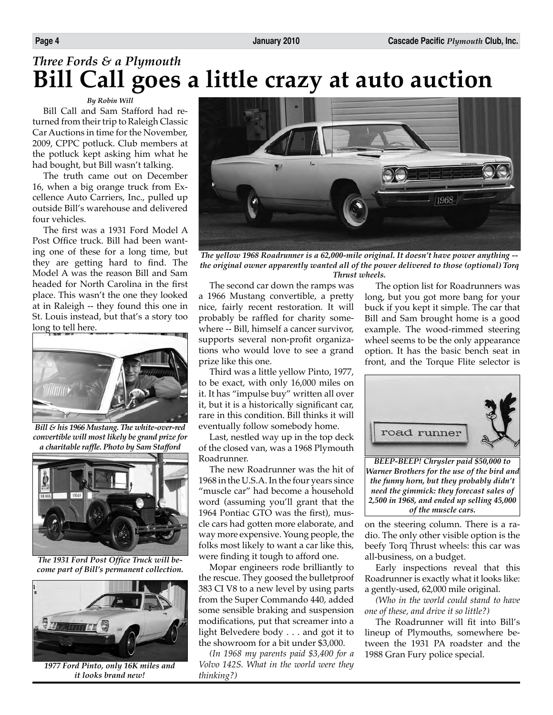# *Three Fords & a Plymouth* **Bill Call goes a little crazy at auto auction**

#### *By Robin Will*

Bill Call and Sam Stafford had returned from their trip to Raleigh Classic Car Auctions in time for the November, 2009, CPPC potluck. Club members at the potluck kept asking him what he had bought, but Bill wasn't talking.

The truth came out on December 16, when a big orange truck from Excellence Auto Carriers, Inc., pulled up outside Bill's warehouse and delivered four vehicles.

The first was a 1931 Ford Model A Post Office truck. Bill had been wanting one of these for a long time, but they are getting hard to find. The Model A was the reason Bill and Sam headed for North Carolina in the first place. This wasn't the one they looked at in Raleigh -- they found this one in St. Louis instead, but that's a story too long to tell here.



*Bill & his 1966 Mustang. The white-over-red convertible will most likely be grand prize for a charitable raffle. Photo by Sam Stafford*



*The 1931 Ford Post Office Truck will become part of Bill's permanent collection.*



*1977 Ford Pinto, only 16K miles and it looks brand new!* 



*The yellow 1968 Roadrunner is a 62,000-mile original. It doesn't have power anything - the original owner apparently wanted all of the power delivered to those (optional) Torq Thrust wheels.*

The second car down the ramps was a 1966 Mustang convertible, a pretty nice, fairly recent restoration. It will probably be raffled for charity somewhere -- Bill, himself a cancer survivor, supports several non-profit organizations who would love to see a grand prize like this one.

Third was a little yellow Pinto, 1977, to be exact, with only 16,000 miles on it. It has "impulse buy" written all over it, but it is a historically significant car, rare in this condition. Bill thinks it will eventually follow somebody home.

Last, nestled way up in the top deck of the closed van, was a 1968 Plymouth Roadrunner.

The new Roadrunner was the hit of 1968 in the U.S.A. In the four years since "muscle car" had become a household word (assuming you'll grant that the 1964 Pontiac GTO was the first), muscle cars had gotten more elaborate, and way more expensive. Young people, the folks most likely to want a car like this, were finding it tough to afford one.

Mopar engineers rode brilliantly to the rescue. They goosed the bulletproof 383 CI V8 to a new level by using parts from the Super Commando 440, added some sensible braking and suspension modifications, put that screamer into a light Belvedere body . . . and got it to the showroom for a bit under \$3,000.

*(In 1968 my parents paid \$3,400 for a Volvo 142S. What in the world were they thinking?)*

The option list for Roadrunners was long, but you got more bang for your buck if you kept it simple. The car that Bill and Sam brought home is a good example. The wood-rimmed steering wheel seems to be the only appearance option. It has the basic bench seat in front, and the Torque Flite selector is



*BEEP-BEEP! Chrysler paid \$50,000 to Warner Brothers for the use of the bird and the funny horn, but they probably didn't need the gimmick: they forecast sales of 2,500 in 1968, and ended up selling 45,000 of the muscle cars.* 

on the steering column. There is a radio. The only other visible option is the beefy Torq Thrust wheels: this car was all-business, on a budget.

Early inspections reveal that this Roadrunner is exactly what it looks like: a gently-used, 62,000 mile original.

*(Who in the world could stand to have one of these, and drive it so little?)*

The Roadrunner will fit into Bill's lineup of Plymouths, somewhere between the 1931 PA roadster and the 1988 Gran Fury police special.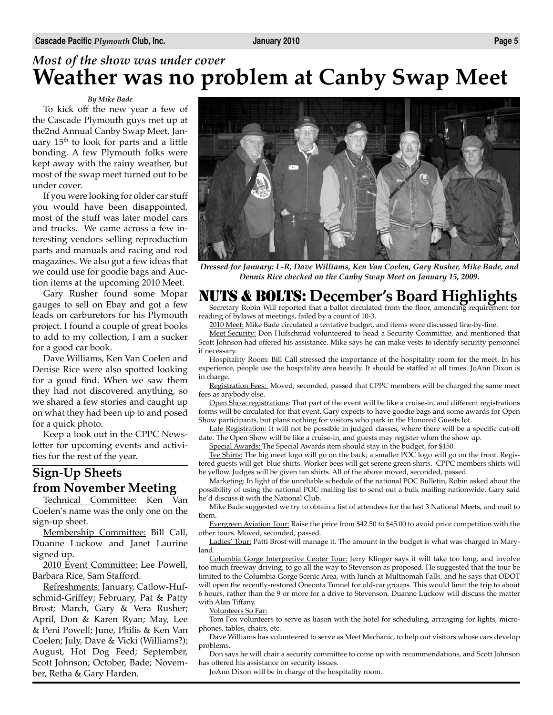### *Most of the show was under cover* **Weather was no problem at Canby Swap Meet**

#### *By Mike Bade*

To kick off the new year a few of the Cascade Plymouth guys met up at the2nd Annual Canby Swap Meet, January  $15<sup>th</sup>$  to look for parts and a little bonding. A few Plymouth folks were kept away with the rainy weather, but most of the swap meet turned out to be under cover.

If you were looking for older car stuff you would have been disappointed, most of the stuff was later model cars and trucks. We came across a few interesting vendors selling reproduction parts and manuals and racing and rod magazines. We also got a few ideas that we could use for goodie bags and Auction items at the upcoming 2010 Meet.

Gary Rusher found some Mopar gauges to sell on Ebay and got a few leads on carburetors for his Plymouth project. I found a couple of great books to add to my collection, I am a sucker for a good car book.

Dave Williams, Ken Van Coelen and Denise Rice were also spotted looking for a good find. When we saw them they had not discovered anything, so we shared a few stories and caught up on what they had been up to and posed for a quick photo.

Keep a look out in the CPPC Newsletter for upcoming events and activities for the rest of the year.

### **Sign-Up Sheets from November Meeting**<br>Technical Committee: Ken Van

Technical Committee: Ken Coelen's name was the only one on the sign-up sheet.

Membership Committee: Bill Call, Duanne Luckow and Janet Laurine signed up.

2010 Event Committee: Lee Powell, Barbara Rice, Sam Stafford.

Refreshments: January, Catlow-Hufschmid-Griffey; February, Pat & Patty Brost; March, Gary & Vera Rusher; April, Don & Karen Ryan; May, Lee & Peni Powell; June, Philis & Ken Van Coelen; July, Dave & Vicki (Williams?); August, Hot Dog Feed; September, Scott Johnson; October, Bade; November, Retha & Gary Harden.



*Dressed for January: L-R, Dave Williams, Ken Van Coelen, Gary Rusher, Mike Bade, and Dennis Rice checked on the Canby Swap Meet on January 15, 2009.*

# **NUTS & BOLTS:** December's Board Highlights Secretary Robin Will reported that a ballot circulated from the floor, amending requirement for

reading of bylaws at meetings, failed by a count of 10-3.

2010 Meet: Mike Bade circulated a tentative budget, and items were discussed line-by-line.

Meet Security: Don Hufschmid volunteered to head a Security Committee, and mentioned that Scott Johnson had offered his assistance. Mike says he can make vests to identify security personnel if necessary.

Hospitality Room: Bill Call stressed the importance of the hospitality room for the meet. In his experience, people use the hospitality area heavily. It should be staffed at all times. JoAnn Dixon is in charge.

Registration Fees: Moved, seconded, passed that CPPC members will be charged the same meet fees as anybody else.

Open Show registrations: That part of the event will be like a cruise-in, and different registrations forms will be circulated for that event. Gary expects to have goodie bags and some awards for Open Show participants, but plans nothing for visitors who park in the Honored Guests lot.

Late Registration: It will not be possible in judged classes, where there will be a specific cut-off date. The Open Show will be like a cruise-in, and guests may register when the show up.

Special Awards: The Special Awards item should stay in the budget, for \$150.

Tee Shirts: The big meet logo will go on the back; a smaller POC logo will go on the front. Registered guests will get blue shirts. Worker bees will get serene green shirts. CPPC members shirts will be yellow. Judges will be given tan shirts. All of the above moved, seconded, passed.

Marketing: In light of the unreliable schedule of the national POC Bulletin, Robin asked about the possibility of using the national POC mailing list to send out a bulk mailing nationwide. Gary said he'd discuss it with the National Club.

Mike Bade suggested we try to obtain a list of attendees for the last 3 National Meets, and mail to them.

Evergreen Aviation Tour: Raise the price from \$42.50 to \$45.00 to avoid price competition with the other tours. Moved, seconded, passed.

Ladies' Tour: Patti Brost will manage it. The amount in the budget is what was charged in Maryland.

Columbia Gorge Interpretive Center Tour: Jerry Klinger says it will take too long, and involve too much freeway driving, to go all the way to Stevenson as proposed. He suggested that the tour be limited to the Columbia Gorge Scenic Area, with lunch at Multnomah Falls, and he says that ODOT will open the recently-restored Oneonta Tunnel for old-car groups. This would limit the trip to about 6 hours, rather than the 9 or more for a drive to Stevenson. Duanne Luckow will discuss the matter with Alan Tiffany.

Volunteers So Far:

Tom Fox volunteers to serve as liason with the hotel for scheduling, arranging for lights, microphones, tables, chairs, etc.

Dave Williams has volunteered to serve as Meet Mechanic, to help out visitors whose cars develop problems.

Don says he will chair a security committee to come up with recommendations, and Scott Johnson has offered his assistance on security issues.

JoAnn Dixon will be in charge of the hospitality room.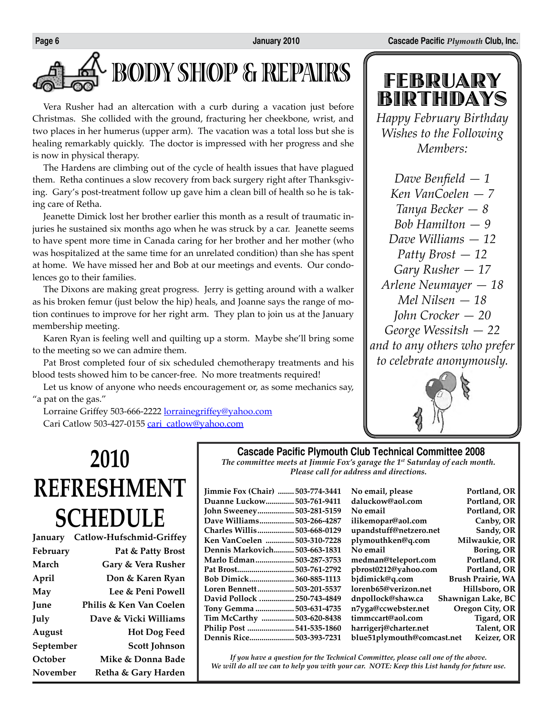# **BODY SHOP & REPAIRS**

Vera Rusher had an altercation with a curb during a vacation just before Christmas. She collided with the ground, fracturing her cheekbone, wrist, and two places in her humerus (upper arm). The vacation was a total loss but she is healing remarkably quickly. The doctor is impressed with her progress and she is now in physical therapy.

The Hardens are climbing out of the cycle of health issues that have plagued them. Retha continues a slow recovery from back surgery right after Thanksgiving. Gary's post-treatment follow up gave him a clean bill of health so he is taking care of Retha.

Jeanette Dimick lost her brother earlier this month as a result of traumatic injuries he sustained six months ago when he was struck by a car. Jeanette seems to have spent more time in Canada caring for her brother and her mother (who was hospitalized at the same time for an unrelated condition) than she has spent at home. We have missed her and Bob at our meetings and events. Our condolences go to their families.

The Dixons are making great progress. Jerry is getting around with a walker as his broken femur (just below the hip) heals, and Joanne says the range of motion continues to improve for her right arm. They plan to join us at the January membership meeting.

Karen Ryan is feeling well and quilting up a storm. Maybe she'll bring some to the meeting so we can admire them.

Pat Brost completed four of six scheduled chemotherapy treatments and his blood tests showed him to be cancer-free. No more treatments required!

Let us know of anyone who needs encouragement or, as some mechanics say, "a pat on the gas."

Lorraine Griffey 503-666-2222 lorrainegriffey@yahoo.com Cari Catlow 503-427-0155 cari\_catlow@yahoo.com

# FEBRUARY BIRTHDAYS

*Happy February Birthday Wishes to the Following Members:*

*Dave Benfield — 1 Ken VanCoelen — 7 Tanya Becker — 8 Bob Hamilton — 9 Dave Williams — 12 Patty Brost — 12 Gary Rusher — 17 Arlene Neumayer — 18 Mel Nilsen — 18 John Crocker — 20 George Wessitsh — 22 and to any others who prefer to celebrate anonymously.*



# **2010 REFRESHMENT SCHEDULE**

| Catlow-Hufschmid-Griffey          |
|-----------------------------------|
| Pat & Patty Brost                 |
| Gary & Vera Rusher                |
| Don & Karen Ryan                  |
| Lee & Peni Powell                 |
| Philis & Ken Van Coelen           |
| Dave & Vicki Williams             |
| <b>Hot Dog Feed</b>               |
| September<br><b>Scott Johnson</b> |
| Mike & Donna Bade                 |
| November<br>Retha & Gary Harden   |
|                                   |

### **Cascade Pacific Plymouth Club Technical Committee 2008**

*The committee meets at Jimmie Fox's garage the 1st Saturday of each month. Please call for address and directions.*

| Jimmie Fox (Chair)  503-774-3441 |  |
|----------------------------------|--|
| Duanne Luckow 503-761-9411       |  |
| John Sweeney 503-281-5159        |  |
| Dave Williams 503-266-4287       |  |
| Charles Willis 503-668-0129      |  |
| Ken VanCoelen 503-310-7228       |  |
| Dennis Markovich 503-663-1831    |  |
| Marlo Edman 503-287-3753         |  |
|                                  |  |
| Bob Dimick360-885-1113           |  |
| Loren Bennett 503-201-5537       |  |
| David Pollock  250-743-4849      |  |
| Tony Gemma  503-631-4735         |  |
| Tim McCarthy  503-620-8438       |  |
| Philip Post 541-535-1860         |  |
| Dennis Rice 503-393-7231         |  |

| <b>Jimmie Fox (Chair) </b><br>503-774-3441 | No email, please           | Portland, OR             |
|--------------------------------------------|----------------------------|--------------------------|
| <b>Duanne Luckow 503-761-9411</b>          | daluckow@aol.com           | Portland, OR             |
| John Sweeney 503-281-5159                  | No email                   | Portland, OR             |
| Dave Williams<br>503-266-4287              | ilikemopar@aol.com         | Canby, OR                |
| Charles Willis………………<br>503-668-0129       | upandstuff@netzero.net     | Sandy, OR                |
| Ken VanCoelen  503-310-7228                | plymouthken@q.com          | Milwaukie, OR            |
| Dennis Markovich<br>503-663-1831           | No email                   | Boring, OR               |
| Marlo Edman<br>503-287-3753                | medman@teleport.com        | Portland, OR             |
| Pat Brost503-761-2792                      | pbrost0212@yahoo.com       | Portland, OR             |
| <b>Bob Dimick</b><br>360-885-1113          | bjdimick@q.com             | <b>Brush Prairie, WA</b> |
| 503-201-5537<br>Loren Bennett              | lorenb65@verizon.net       | Hillsboro, OR            |
| <b>David Pollock  250-743-4849</b>         | dnpollock@shaw.ca          | Shawnigan Lake, BC       |
| Tony Gemma  503-631-4735                   | n7yga@ccwebster.net        | Oregon City, OR          |
| Tim McCarthy<br>503-620-8438               | timmccart@aol.com          | Tigard, OR               |
| Philip Post 541-535-1860                   | harrigerj@charter.net      | Talent, OR               |
| <b>Dennis Rice 503-393-7231</b>            | blue51plymouth@comcast.net | Keizer, OR               |
|                                            |                            |                          |

*If you have a question for the Technical Committee, please call one of the above. We will do all we can to help you with your car. NOTE: Keep this List handy for future use.*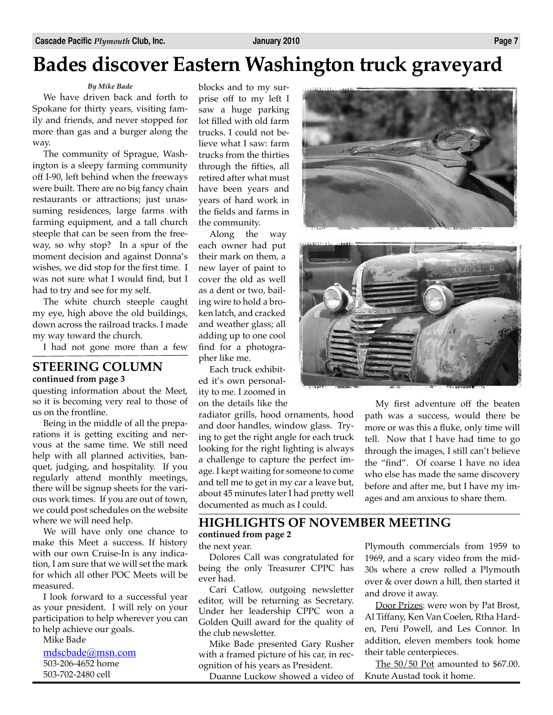# **Bades discover Eastern Washington truck graveyard**

*By Mike Bade*

We have driven back and forth to Spokane for thirty years, visiting family and friends, and never stopped for more than gas and a burger along the way.

The community of Sprague, Washington is a sleepy farming community off I-90, left behind when the freeways were built. There are no big fancy chain restaurants or attractions; just unassuming residences, large farms with farming equipment, and a tall church steeple that can be seen from the freeway, so why stop? In a spur of the moment decision and against Donna's wishes, we did stop for the first time. I was not sure what I would find, but I had to try and see for my self.

The white church steeple caught my eye, high above the old buildings, down across the railroad tracks. I made my way toward the church.

I had not gone more than a few

#### **STEERING COLUMN continued from page 3**

questing information about the Meet, so it is becoming very real to those of us on the frontline.

Being in the middle of all the preparations it is getting exciting and nervous at the same time. We still need help with all planned activities, banquet, judging, and hospitality. If you regularly attend monthly meetings, there will be signup sheets for the various work times. If you are out of town, we could post schedules on the website where we will need help.

We will have only one chance to make this Meet a success. If history with our own Cruise-In is any indication, I am sure that we will set the mark for which all other POC Meets will be measured.

I look forward to a successful year as your president. I will rely on your participation to help wherever you can to help achieve our goals.

Mike Bade

mdscbade@msn.com 503-206-4652 home 503-702-2480 cell

blocks and to my surprise off to my left I saw a huge parking lot filled with old farm trucks. I could not believe what I saw: farm trucks from the thirties through the fifties, all retired after what must have been years and years of hard work in the fields and farms in the community.

Along the way each owner had put their mark on them, a new layer of paint to cover the old as well as a dent or two, bailing wire to hold a broken latch, and cracked and weather glass; all adding up to one cool find for a photographer like me.

Each truck exhibited it's own personality to me. I zoomed in on the details like the

radiator grills, hood ornaments, hood and door handles, window glass. Trying to get the right angle for each truck looking for the right lighting is always a challenge to capture the perfect image. I kept waiting for someone to come and tell me to get in my car a leave but, about 45 minutes later I had pretty well documented as much as I could.





My first adventure off the beaten path was a success, would there be

more or was this a fluke, only time will tell. Now that I have had time to go through the images, I still can't believe the "find". Of coarse I have no idea who else has made the same discovery before and after me, but I have my images and am anxious to share them.

#### **HIGHLIGHTS OF NOVEMBER MEETING continued from page 2**

the next year.

Dolores Call was congratulated for being the only Treasurer CPPC has ever had.

Cari Catlow, outgoing newsletter editor, will be returning as Secretary. Under her leadership CPPC won a Golden Quill award for the quality of the club newsletter.

Mike Bade presented Gary Rusher with a framed picture of his car, in recognition of his years as President.

Duanne Luckow showed a video of

Plymouth commercials from 1959 to 1969, and a scary video from the mid-30s where a crew rolled a Plymouth over & over down a hill, then started it and drove it away.

Door Prizes: were won by Pat Brost, Al Tiffany, Ken Van Coelen, Rtha Harden, Peni Powell, and Les Connor. In addition, eleven members took home their table centerpieces.

The 50/50 Pot amounted to \$67.00. Knute Austad took it home.